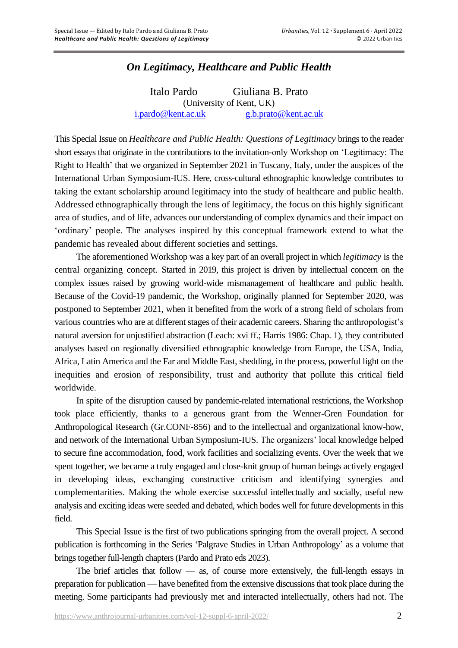## *On Legitimacy, Healthcare and Public Health*

Italo Pardo Giuliana B. Prato (University of Kent, UK) [i.pardo@kent.ac.uk](mailto:i.pardo@kent.ac.uk) [g.b.prato@kent.ac.uk](mailto:g.b.prato@kent.ac.uk)

This Special Issue on *Healthcare and Public Health: Questions of Legitimacy* brings to the reader short essays that originate in the contributions to the invitation-only Workshop on 'Legitimacy: The Right to Health' that we organized in September 2021 in Tuscany, Italy, under the auspices of the International Urban Symposium-IUS. Here, cross-cultural ethnographic knowledge contributes to taking the extant scholarship around legitimacy into the study of healthcare and public health. Addressed ethnographically through the lens of legitimacy, the focus on this highly significant area of studies, and of life, advances our understanding of complex dynamics and their impact on 'ordinary' people. The analyses inspired by this conceptual framework extend to what the pandemic has revealed about different societies and settings.

The aforementioned Workshop was a key part of an overall project in which *legitimacy* is the central organizing concept. Started in 2019, this project is driven by intellectual concern on the complex issues raised by growing world-wide mismanagement of healthcare and public health. Because of the Covid-19 pandemic, the Workshop, originally planned for September 2020, was postponed to September 2021, when it benefited from the work of a strong field of scholars from various countries who are at different stages of their academic careers. Sharing the anthropologist's natural aversion for unjustified abstraction (Leach: xvi ff.; Harris 1986: Chap. 1), they contributed analyses based on regionally diversified ethnographic knowledge from Europe, the USA, India, Africa, Latin America and the Far and Middle East, shedding, in the process, powerful light on the inequities and erosion of responsibility, trust and authority that pollute this critical field worldwide.

In spite of the disruption caused by pandemic-related international restrictions, the Workshop took place efficiently, thanks to a generous grant from the Wenner-Gren Foundation for Anthropological Research (Gr.CONF-856) and to the intellectual and organizational know-how, and network of the International Urban Symposium-IUS. The organizers' local knowledge helped to secure fine accommodation, food, work facilities and socializing events. Over the week that we spent together, we became a truly engaged and close-knit group of human beings actively engaged in developing ideas, exchanging constructive criticism and identifying synergies and complementarities. Making the whole exercise successful intellectually and socially, useful new analysis and exciting ideas were seeded and debated, which bodes well for future developments in this field.

This Special Issue is the first of two publications springing from the overall project. A second publication is forthcoming in the Series 'Palgrave Studies in Urban Anthropology' as a volume that brings together full-length chapters(Pardo and Prato eds 2023).

The brief articles that follow  $-$  as, of course more extensively, the full-length essays in preparation for publication — have benefited from the extensive discussions that took place during the meeting. Some participants had previously met and interacted intellectually, others had not. The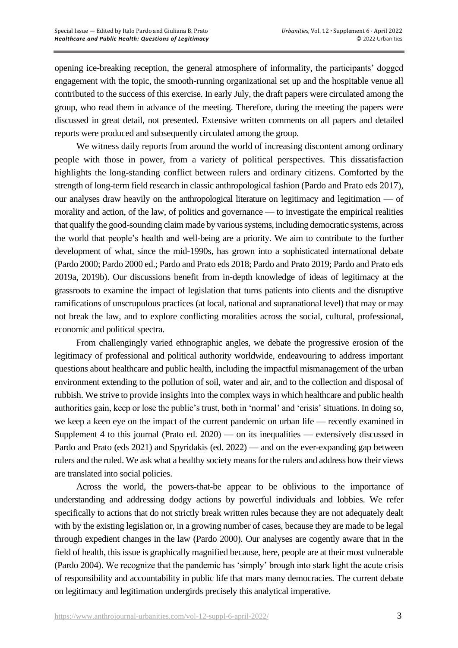opening ice-breaking reception, the general atmosphere of informality, the participants' dogged engagement with the topic, the smooth-running organizational set up and the hospitable venue all contributed to the success of this exercise. In early July, the draft papers were circulated among the group, who read them in advance of the meeting. Therefore, during the meeting the papers were discussed in great detail, not presented. Extensive written comments on all papers and detailed reports were produced and subsequently circulated among the group.

We witness daily reports from around the world of increasing discontent among ordinary people with those in power, from a variety of political perspectives. This dissatisfaction highlights the long-standing conflict between rulers and ordinary citizens. Comforted by the strength of long-term field research in classic anthropological fashion (Pardo and Prato eds 2017), our analyses draw heavily on the anthropological literature on legitimacy and legitimation — of morality and action, of the law, of politics and governance — to investigate the empirical realities that qualify the good-sounding claim made by various systems, including democratic systems, across the world that people's health and well-being are a priority. We aim to contribute to the further development of what, since the mid-1990s, has grown into a sophisticated international debate (Pardo 2000; Pardo 2000 ed.; Pardo and Prato eds 2018; Pardo and Prato 2019; Pardo and Prato eds 2019a, 2019b). Our discussions benefit from in-depth knowledge of ideas of legitimacy at the grassroots to examine the impact of legislation that turns patients into clients and the disruptive ramifications of unscrupulous practices (at local, national and supranational level) that may or may not break the law, and to explore conflicting moralities across the social, cultural, professional, economic and political spectra.

From challengingly varied ethnographic angles, we debate the progressive erosion of the legitimacy of professional and political authority worldwide, endeavouring to address important questions about healthcare and public health, including the impactful mismanagement of the urban environment extending to the pollution of soil, water and air, and to the collection and disposal of rubbish. We strive to provide insights into the complex ways in which healthcare and public health authorities gain, keep or lose the public's trust, both in 'normal' and 'crisis' situations. In doing so, we keep a keen eye on the impact of the current pandemic on urban life — recently examined in Supplement 4 to this journal (Prato ed. 2020) — on its inequalities — extensively discussed in Pardo and Prato (eds 2021) and Spyridakis (ed. 2022) — and on the ever-expanding gap between rulers and the ruled. We ask what a healthy society means for the rulers and address how their views are translated into social policies.

Across the world, the powers-that-be appear to be oblivious to the importance of understanding and addressing dodgy actions by powerful individuals and lobbies. We refer specifically to actions that do not strictly break written rules because they are not adequately dealt with by the existing legislation or, in a growing number of cases, because they are made to be legal through expedient changes in the law (Pardo 2000). Our analyses are cogently aware that in the field of health, this issue is graphically magnified because, here, people are at their most vulnerable (Pardo 2004). We recognize that the pandemic has 'simply' brough into stark light the acute crisis of responsibility and accountability in public life that mars many democracies. The current debate on legitimacy and legitimation undergirds precisely this analytical imperative.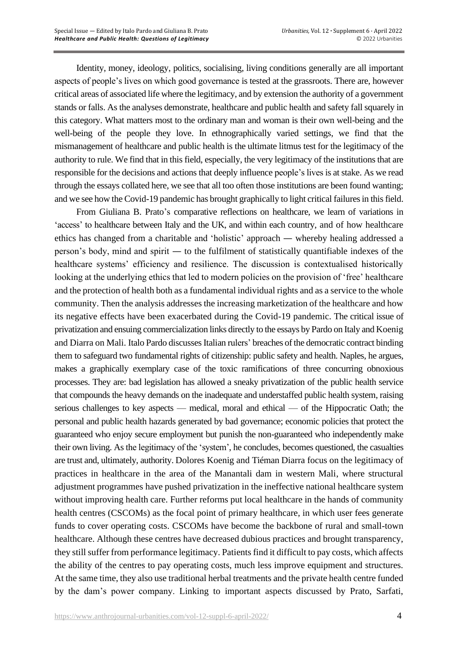Identity, money, ideology, politics, socialising, living conditions generally are all important aspects of people's lives on which good governance is tested at the grassroots. There are, however critical areas of associated life where the legitimacy, and by extension the authority of a government stands or falls. As the analyses demonstrate, healthcare and public health and safety fall squarely in this category. What matters most to the ordinary man and woman is their own well-being and the well-being of the people they love. In ethnographically varied settings, we find that the mismanagement of healthcare and public health is the ultimate litmus test for the legitimacy of the authority to rule. We find that in this field, especially, the very legitimacy of the institutions that are responsible for the decisions and actions that deeply influence people's lives is at stake. As we read through the essays collated here, we see that all too often those institutions are been found wanting; and we see how the Covid-19 pandemic has brought graphically to light critical failures in this field.

From Giuliana B. Prato's comparative reflections on healthcare, we learn of variations in 'access' to healthcare between Italy and the UK, and within each country, and of how healthcare ethics has changed from a charitable and 'holistic' approach — whereby healing addressed a person's body, mind and spirit — to the fulfilment of statistically quantifiable indexes of the healthcare systems' efficiency and resilience. The discussion is contextualised historically looking at the underlying ethics that led to modern policies on the provision of 'free' healthcare and the protection of health both as a fundamental individual rights and as a service to the whole community. Then the analysis addresses the increasing marketization of the healthcare and how its negative effects have been exacerbated during the Covid-19 pandemic. The critical issue of privatization and ensuing commercialization links directly to the essays by Pardo on Italy and Koenig and Diarra on Mali. Italo Pardo discusses Italian rulers' breaches of the democratic contract binding them to safeguard two fundamental rights of citizenship: public safety and health. Naples, he argues, makes a graphically exemplary case of the toxic ramifications of three concurring obnoxious processes. They are: bad legislation has allowed a sneaky privatization of the public health service that compounds the heavy demands on the inadequate and understaffed public health system, raising serious challenges to key aspects — medical, moral and ethical — of the Hippocratic Oath; the personal and public health hazards generated by bad governance; economic policies that protect the guaranteed who enjoy secure employment but punish the non-guaranteed who independently make their own living. As the legitimacy of the 'system', he concludes, becomes questioned, the casualties are trust and, ultimately, authority. Dolores Koenig and Tiéman Diarra focus on the legitimacy of practices in healthcare in the area of the Manantali dam in western Mali, where structural adjustment programmes have pushed privatization in the ineffective national healthcare system without improving health care. Further reforms put local healthcare in the hands of community health centres (CSCOMs) as the focal point of primary healthcare, in which user fees generate funds to cover operating costs. CSCOMs have become the backbone of rural and small-town healthcare. Although these centres have decreased dubious practices and brought transparency, they still suffer from performance legitimacy. Patients find it difficult to pay costs, which affects the ability of the centres to pay operating costs, much less improve equipment and structures. At the same time, they also use traditional herbal treatments and the private health centre funded by the dam's power company. Linking to important aspects discussed by Prato, Sarfati,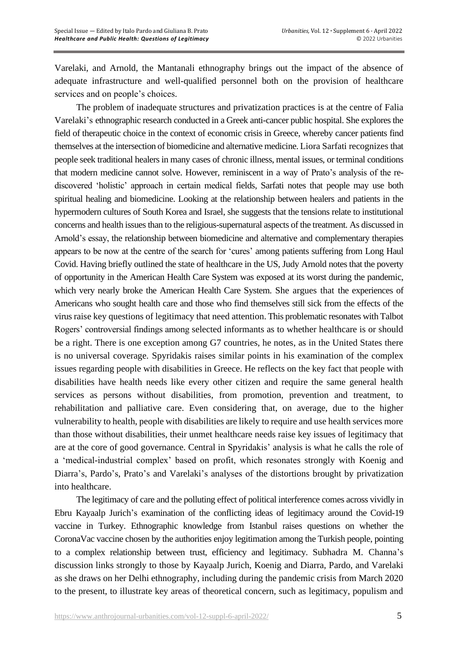Varelaki, and Arnold, the Mantanali ethnography brings out the impact of the absence of adequate infrastructure and well-qualified personnel both on the provision of healthcare services and on people's choices.

The problem of inadequate structures and privatization practices is at the centre of Falia Varelaki's ethnographic research conducted in a Greek anti-cancer public hospital. She explores the field of therapeutic choice in the context of economic crisis in Greece, whereby cancer patients find themselves at the intersection of biomedicine and alternative medicine. Liora Sarfati recognizes that people seek traditional healers in many cases of chronic illness, mental issues, or terminal conditions that modern medicine cannot solve. However, reminiscent in a way of Prato's analysis of the rediscovered 'holistic' approach in certain medical fields, Sarfati notes that people may use both spiritual healing and biomedicine. Looking at the relationship between healers and patients in the hypermodern cultures of South Korea and Israel, she suggests that the tensions relate to institutional concerns and health issues than to the religious-supernatural aspects of the treatment. As discussed in Arnold's essay, the relationship between biomedicine and alternative and complementary therapies appears to be now at the centre of the search for 'cures' among patients suffering from Long Haul Covid. Having briefly outlined the state of healthcare in the US, Judy Arnold notes that the poverty of opportunity in the American Health Care System was exposed at its worst during the pandemic, which very nearly broke the American Health Care System. She argues that the experiences of Americans who sought health care and those who find themselves still sick from the effects of the virus raise key questions of legitimacy that need attention. This problematic resonates with Talbot Rogers' controversial findings among selected informants as to whether healthcare is or should be a right. There is one exception among G7 countries, he notes, as in the United States there is no universal coverage. Spyridakis raises similar points in his examination of the complex issues regarding people with disabilities in Greece. He reflects on the key fact that people with disabilities have health needs like every other citizen and require the same general health services as persons without disabilities, from promotion, prevention and treatment, to rehabilitation and palliative care. Even considering that, on average, due to the higher vulnerability to health, people with disabilities are likely to require and use health services more than those without disabilities, their unmet healthcare needs raise key issues of legitimacy that are at the core of good governance. Central in Spyridakis' analysis is what he calls the role of a 'medical-industrial complex' based on profit, which resonates strongly with Koenig and Diarra's, Pardo's, Prato's and Varelaki's analyses of the distortions brought by privatization into healthcare.

The legitimacy of care and the polluting effect of political interference comes across vividly in Ebru Kayaalp Jurich's examination of the conflicting ideas of legitimacy around the Covid-19 vaccine in Turkey. Ethnographic knowledge from Istanbul raises questions on whether the CoronaVac vaccine chosen by the authorities enjoy legitimation among the Turkish people, pointing to a complex relationship between trust, efficiency and legitimacy. Subhadra M. Channa's discussion links strongly to those by Kayaalp Jurich, Koenig and Diarra, Pardo, and Varelaki as she draws on her Delhi ethnography, including during the pandemic crisis from March 2020 to the present, to illustrate key areas of theoretical concern, such as legitimacy, populism and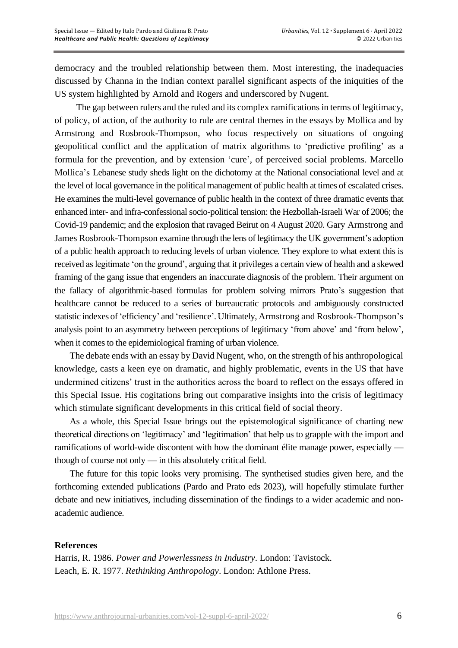democracy and the troubled relationship between them. Most interesting, the inadequacies discussed by Channa in the Indian context parallel significant aspects of the iniquities of the US system highlighted by Arnold and Rogers and underscored by Nugent.

The gap between rulers and the ruled and its complex ramifications in terms of legitimacy, of policy, of action, of the authority to rule are central themes in the essays by Mollica and by Armstrong and Rosbrook-Thompson, who focus respectively on situations of ongoing geopolitical conflict and the application of matrix algorithms to 'predictive profiling' as a formula for the prevention, and by extension 'cure', of perceived social problems. Marcello Mollica's Lebanese study sheds light on the dichotomy at the National consociational level and at the level of local governance in the political management of public health at times of escalated crises. He examines the multi-level governance of public health in the context of three dramatic events that enhanced inter- and infra-confessional socio-political tension: the Hezbollah-Israeli War of 2006; the Covid-19 pandemic; and the explosion that ravaged Beirut on 4 August 2020. Gary Armstrong and James Rosbrook-Thompson examine through the lens of legitimacy the UK government's adoption of a public health approach to reducing levels of urban violence. They explore to what extent this is received as legitimate 'on the ground', arguing that it privileges a certain view of health and a skewed framing of the gang issue that engenders an inaccurate diagnosis of the problem. Their argument on the fallacy of algorithmic-based formulas for problem solving mirrors Prato's suggestion that healthcare cannot be reduced to a series of bureaucratic protocols and ambiguously constructed statistic indexes of'efficiency' and 'resilience'. Ultimately, Armstrong and Rosbrook-Thompson's analysis point to an asymmetry between perceptions of legitimacy 'from above' and 'from below', when it comes to the epidemiological framing of urban violence.

The debate ends with an essay by David Nugent, who, on the strength of his anthropological knowledge, casts a keen eye on dramatic, and highly problematic, events in the US that have undermined citizens' trust in the authorities across the board to reflect on the essays offered in this Special Issue. His cogitations bring out comparative insights into the crisis of legitimacy which stimulate significant developments in this critical field of social theory.

As a whole, this Special Issue brings out the epistemological significance of charting new theoretical directions on 'legitimacy' and 'legitimation' that help us to grapple with the import and ramifications of world-wide discontent with how the dominant élite manage power, especially though of course not only — in this absolutely critical field.

The future for this topic looks very promising. The synthetised studies given here, and the forthcoming extended publications (Pardo and Prato eds 2023), will hopefully stimulate further debate and new initiatives, including dissemination of the findings to a wider academic and nonacademic audience.

## **References**

Harris, R. 1986. *Power and Powerlessness in Industry*. London: Tavistock. Leach, E. R. 1977. *Rethinking Anthropology*. London: Athlone Press.